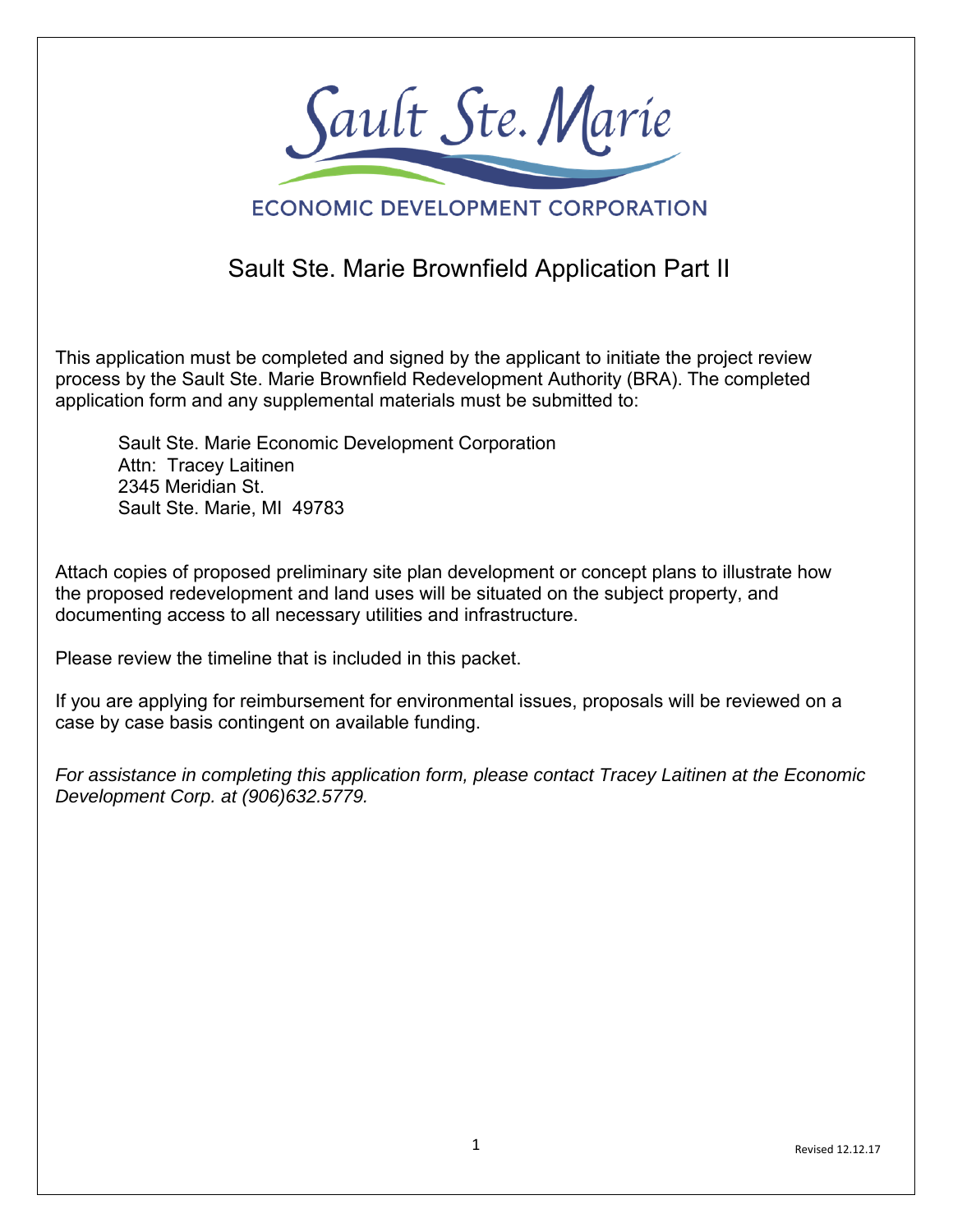

## **ECONOMIC DEVELOPMENT CORPORATION**

# Sault Ste. Marie Brownfield Application Part II

This application must be completed and signed by the applicant to initiate the project review process by the Sault Ste. Marie Brownfield Redevelopment Authority (BRA). The completed application form and any supplemental materials must be submitted to:

Sault Ste. Marie Economic Development Corporation Attn: Tracey Laitinen 2345 Meridian St. Sault Ste. Marie, MI 49783

Attach copies of proposed preliminary site plan development or concept plans to illustrate how the proposed redevelopment and land uses will be situated on the subject property, and documenting access to all necessary utilities and infrastructure.

Please review the timeline that is included in this packet.

If you are applying for reimbursement for environmental issues, proposals will be reviewed on a case by case basis contingent on available funding.

*For assistance in completing this application form, please contact Tracey Laitinen at the Economic Development Corp. at (906)632.5779.*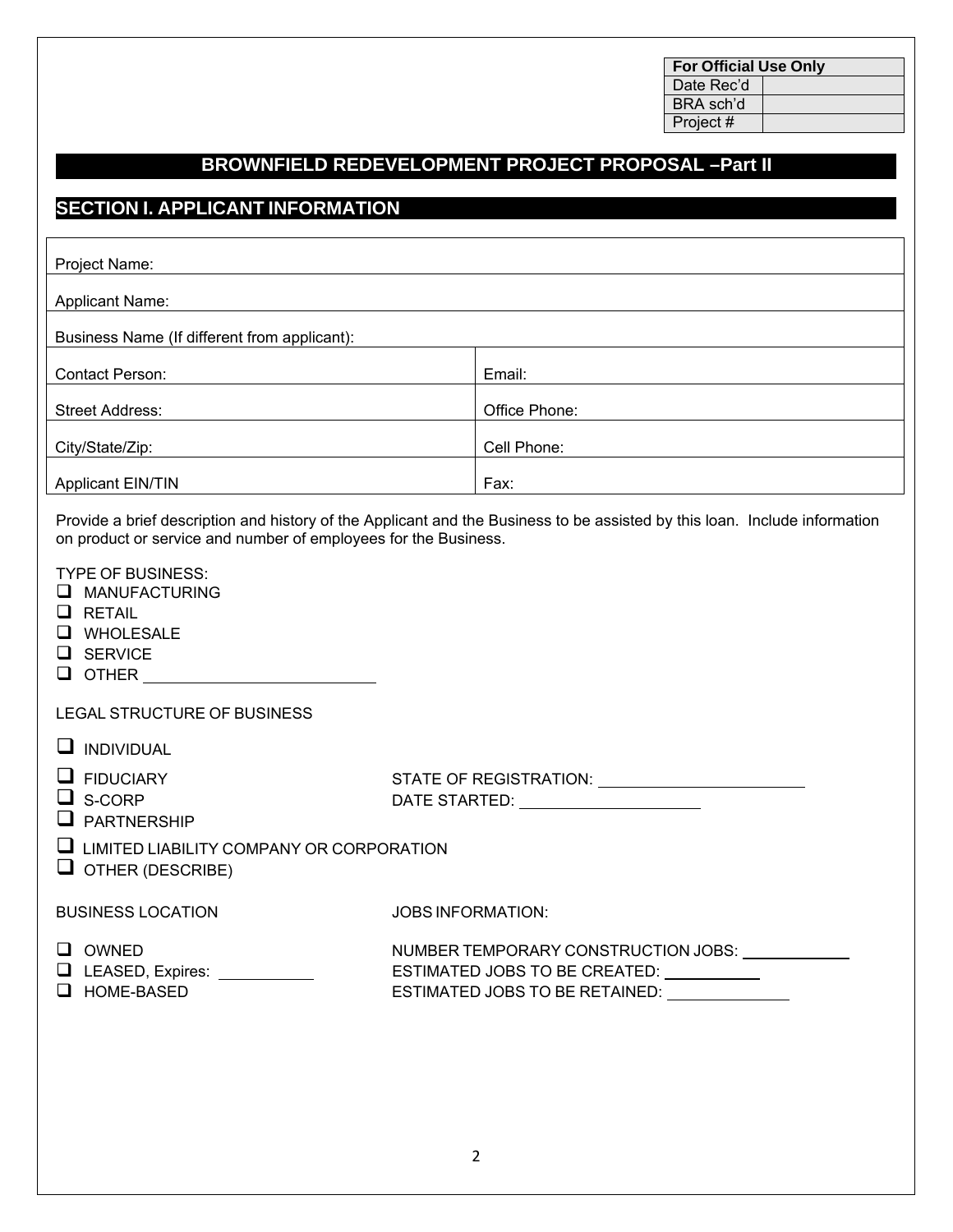| <b>For Official Use Only</b> |  |  |
|------------------------------|--|--|
| Date Rec'd                   |  |  |
| BRA sch'd                    |  |  |
| Project #                    |  |  |

## **BROWNFIELD REDEVELOPMENT PROJECT PROPOSAL –Part II**

#### **SECTION I. APPLICANT INFORMATION**

| Project Name:                                                                                                                           |                                                                                |                                                                                                                            |  |
|-----------------------------------------------------------------------------------------------------------------------------------------|--------------------------------------------------------------------------------|----------------------------------------------------------------------------------------------------------------------------|--|
| <b>Applicant Name:</b>                                                                                                                  |                                                                                |                                                                                                                            |  |
| Business Name (If different from applicant):                                                                                            |                                                                                |                                                                                                                            |  |
| <b>Contact Person:</b>                                                                                                                  |                                                                                | Email:                                                                                                                     |  |
|                                                                                                                                         |                                                                                |                                                                                                                            |  |
| <b>Street Address:</b>                                                                                                                  |                                                                                | Office Phone:                                                                                                              |  |
| City/State/Zip:                                                                                                                         |                                                                                | Cell Phone:                                                                                                                |  |
| <b>Applicant EIN/TIN</b>                                                                                                                |                                                                                | Fax:                                                                                                                       |  |
| on product or service and number of employees for the Business.                                                                         |                                                                                | Provide a brief description and history of the Applicant and the Business to be assisted by this loan. Include information |  |
| <b>TYPE OF BUSINESS:</b><br><b>MANUFACTURING</b><br>$\Box$ RETAIL<br>WHOLESALE<br><b>SERVICE</b><br>$\Box$<br>OTHER <b>Example 2018</b> |                                                                                |                                                                                                                            |  |
| LEGAL STRUCTURE OF BUSINESS                                                                                                             |                                                                                |                                                                                                                            |  |
| <b>INDIVIDUAL</b>                                                                                                                       |                                                                                |                                                                                                                            |  |
| <b>FIDUCIARY</b>                                                                                                                        |                                                                                |                                                                                                                            |  |
| S-CORP<br>ப<br><b>PARTNERSHIP</b>                                                                                                       |                                                                                | DATE STARTED: ______________________                                                                                       |  |
| ப<br>LIMITED LIABILITY COMPANY OR CORPORATION<br>OTHER (DESCRIBE)                                                                       |                                                                                |                                                                                                                            |  |
| <b>BUSINESS LOCATION</b>                                                                                                                | <b>JOBS INFORMATION:</b>                                                       |                                                                                                                            |  |
| $\Box$ OWNED                                                                                                                            | NUMBER TEMPORARY CONSTRUCTION JOBS:                                            |                                                                                                                            |  |
| $\Box$ LEASED, Expires: $\Box$                                                                                                          | ESTIMATED JOBS TO BE CREATED: \[\]                                             |                                                                                                                            |  |
| $\Box$ HOME-BASED                                                                                                                       | ESTIMATED JOBS TO BE RETAINED: University of the STIMATED JOBS TO BE RETAINED: |                                                                                                                            |  |
|                                                                                                                                         |                                                                                |                                                                                                                            |  |
|                                                                                                                                         |                                                                                |                                                                                                                            |  |
|                                                                                                                                         |                                                                                |                                                                                                                            |  |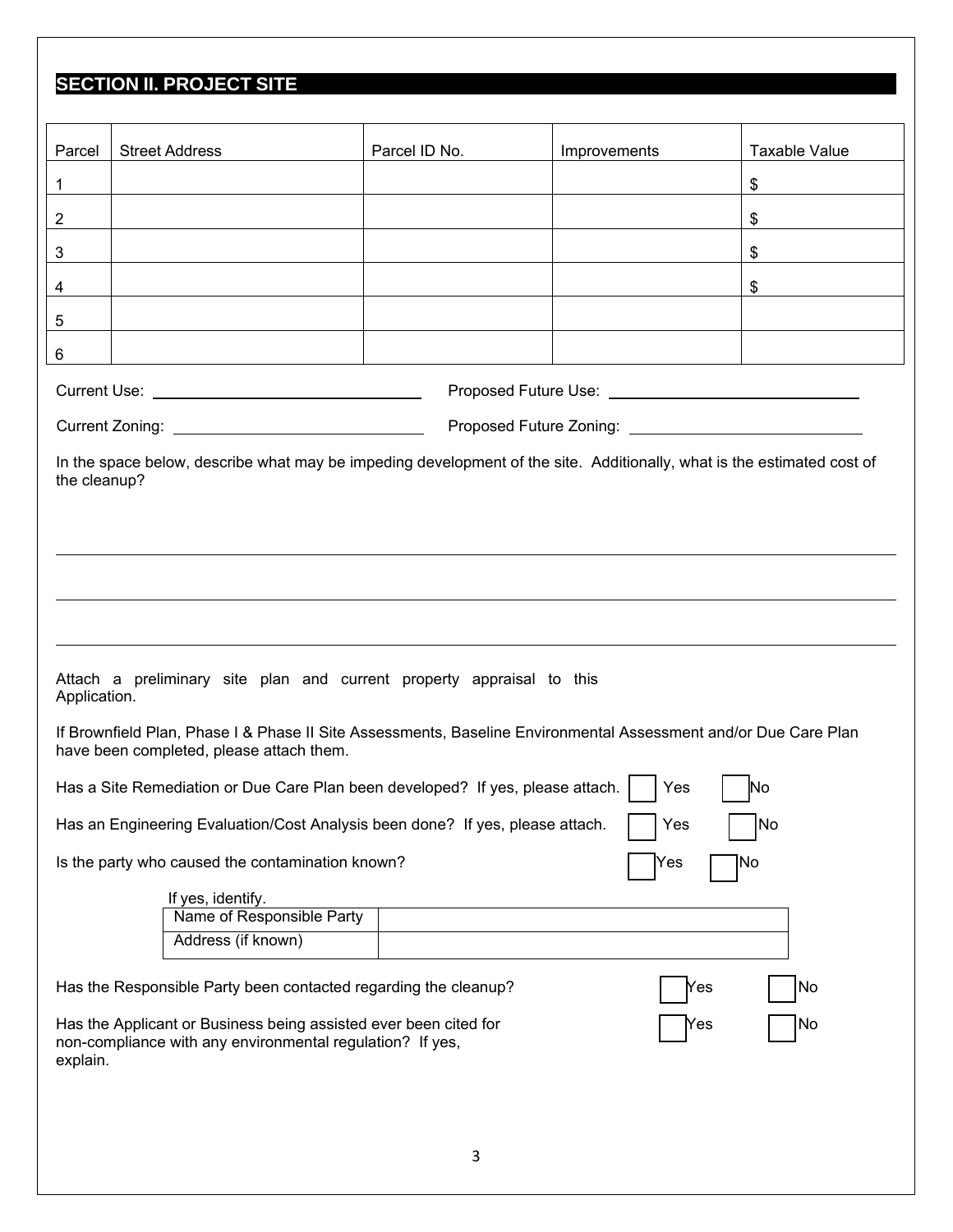# **SECTION II. PROJECT SITE**

| Parcel                                                                                                                                                  | <b>Street Address</b>                                                                                                                                       | Parcel ID No. | Improvements                                                    | Taxable Value |  |
|---------------------------------------------------------------------------------------------------------------------------------------------------------|-------------------------------------------------------------------------------------------------------------------------------------------------------------|---------------|-----------------------------------------------------------------|---------------|--|
| $\mathbf 1$                                                                                                                                             |                                                                                                                                                             |               |                                                                 | \$            |  |
| $\overline{2}$                                                                                                                                          |                                                                                                                                                             |               |                                                                 | $\$\$         |  |
|                                                                                                                                                         |                                                                                                                                                             |               |                                                                 |               |  |
| 3                                                                                                                                                       |                                                                                                                                                             |               |                                                                 | \$            |  |
| 4                                                                                                                                                       |                                                                                                                                                             |               |                                                                 | \$            |  |
| 5                                                                                                                                                       |                                                                                                                                                             |               |                                                                 |               |  |
| 6                                                                                                                                                       |                                                                                                                                                             |               |                                                                 |               |  |
|                                                                                                                                                         | Current Use: <u>________________________________</u>                                                                                                        |               | Proposed Future Use: <u>___________________________________</u> |               |  |
|                                                                                                                                                         |                                                                                                                                                             |               |                                                                 |               |  |
|                                                                                                                                                         | In the space below, describe what may be impeding development of the site. Additionally, what is the estimated cost of                                      |               |                                                                 |               |  |
| the cleanup?                                                                                                                                            |                                                                                                                                                             |               |                                                                 |               |  |
|                                                                                                                                                         |                                                                                                                                                             |               |                                                                 |               |  |
|                                                                                                                                                         |                                                                                                                                                             |               |                                                                 |               |  |
|                                                                                                                                                         |                                                                                                                                                             |               |                                                                 |               |  |
|                                                                                                                                                         |                                                                                                                                                             |               |                                                                 |               |  |
|                                                                                                                                                         |                                                                                                                                                             |               |                                                                 |               |  |
| Application.                                                                                                                                            | Attach a preliminary site plan and current property appraisal to this                                                                                       |               |                                                                 |               |  |
|                                                                                                                                                         | If Brownfield Plan, Phase I & Phase II Site Assessments, Baseline Environmental Assessment and/or Due Care Plan<br>have been completed, please attach them. |               |                                                                 |               |  |
|                                                                                                                                                         | Has a Site Remediation or Due Care Plan been developed? If yes, please attach.                                                                              |               | Yes                                                             | No            |  |
|                                                                                                                                                         | Has an Engineering Evaluation/Cost Analysis been done? If yes, please attach.                                                                               |               | Yes                                                             | No            |  |
|                                                                                                                                                         | Is the party who caused the contamination known?                                                                                                            |               | Yes                                                             | No            |  |
|                                                                                                                                                         |                                                                                                                                                             |               |                                                                 |               |  |
|                                                                                                                                                         | If yes, identify.<br>Name of Responsible Party                                                                                                              |               |                                                                 |               |  |
|                                                                                                                                                         | Address (if known)                                                                                                                                          |               |                                                                 |               |  |
|                                                                                                                                                         |                                                                                                                                                             |               |                                                                 |               |  |
| Has the Responsible Party been contacted regarding the cleanup?<br> No<br>Yes                                                                           |                                                                                                                                                             |               |                                                                 |               |  |
| Has the Applicant or Business being assisted ever been cited for<br> No<br>Yes<br>non-compliance with any environmental regulation? If yes,<br>explain. |                                                                                                                                                             |               |                                                                 |               |  |
|                                                                                                                                                         |                                                                                                                                                             |               |                                                                 |               |  |
|                                                                                                                                                         |                                                                                                                                                             |               |                                                                 |               |  |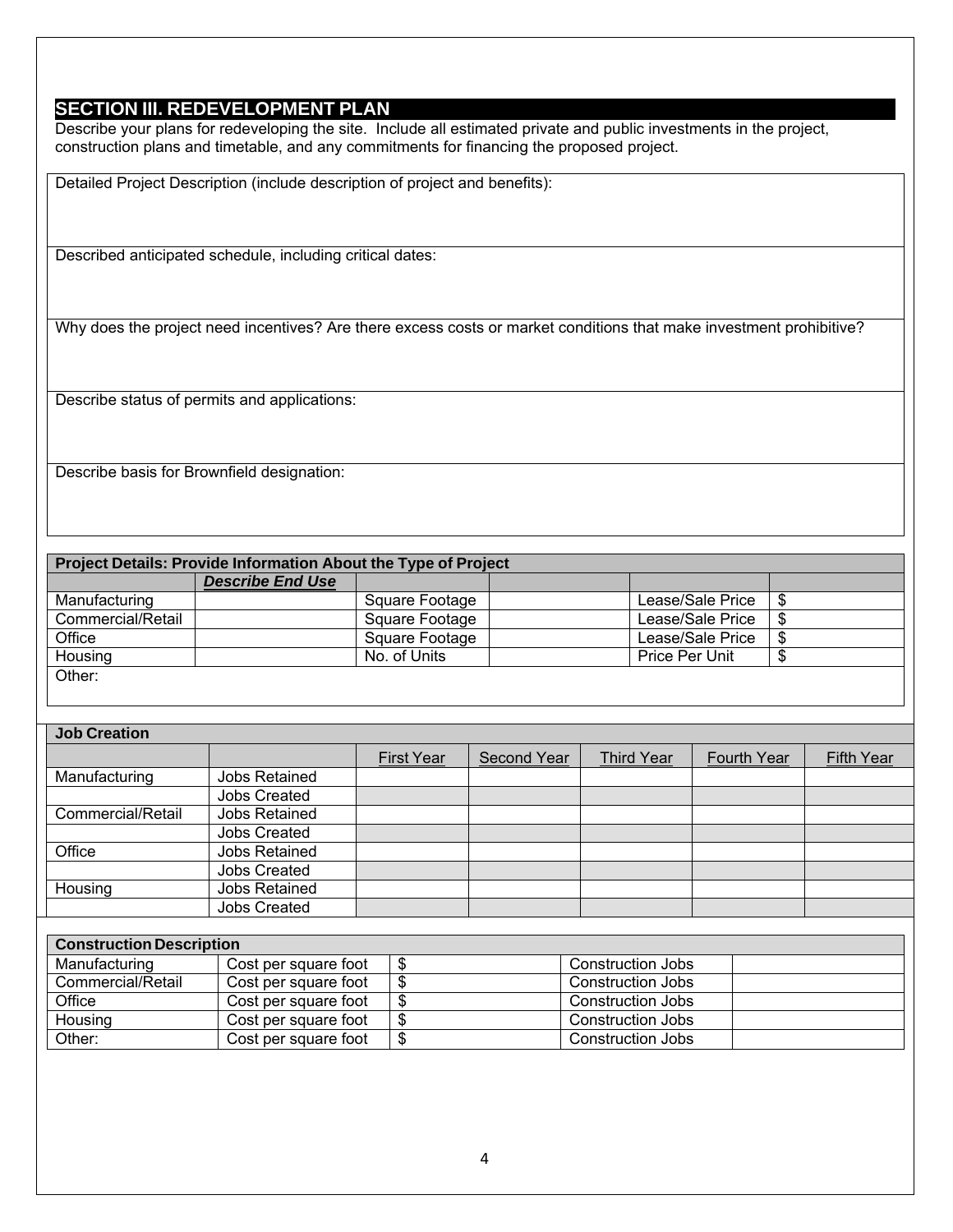#### **SECTION III. REDEVELOPMENT PLAN**

Describe your plans for redeveloping the site. Include all estimated private and public investments in the project, construction plans and timetable, and any commitments for financing the proposed project.

Detailed Project Description (include description of project and benefits):

Described anticipated schedule, including critical dates:

Why does the project need incentives? Are there excess costs or market conditions that make investment prohibitive?

Describe status of permits and applications:

Describe basis for Brownfield designation:

| Project Details: Provide Information About the Type of Project |                         |                |  |                  |      |
|----------------------------------------------------------------|-------------------------|----------------|--|------------------|------|
|                                                                | <b>Describe End Use</b> |                |  |                  |      |
| Manufacturing                                                  |                         | Square Footage |  | Lease/Sale Price | - \$ |
| Commercial/Retail                                              |                         | Square Footage |  | Lease/Sale Price | - \$ |
| Office                                                         |                         | Square Footage |  | Lease/Sale Price | - \$ |
| Housing                                                        |                         | No. of Units   |  | Price Per Unit   | \$   |
| Other:                                                         |                         |                |  |                  |      |

| <b>Job Creation</b> |                     |                   |                    |                   |             |                   |
|---------------------|---------------------|-------------------|--------------------|-------------------|-------------|-------------------|
|                     |                     | <b>First Year</b> | <b>Second Year</b> | <b>Third Year</b> | Fourth Year | <b>Fifth Year</b> |
| Manufacturing       | Jobs Retained       |                   |                    |                   |             |                   |
|                     | <b>Jobs Created</b> |                   |                    |                   |             |                   |
| Commercial/Retail   | Jobs Retained       |                   |                    |                   |             |                   |
|                     | <b>Jobs Created</b> |                   |                    |                   |             |                   |
| Office              | Jobs Retained       |                   |                    |                   |             |                   |
|                     | <b>Jobs Created</b> |                   |                    |                   |             |                   |
| Housing             | Jobs Retained       |                   |                    |                   |             |                   |
|                     | <b>Jobs Created</b> |                   |                    |                   |             |                   |

| <b>Construction Description</b> |                      |  |                          |  |
|---------------------------------|----------------------|--|--------------------------|--|
| Manufacturing                   | Cost per square foot |  | <b>Construction Jobs</b> |  |
| Commercial/Retail               | Cost per square foot |  | <b>Construction Jobs</b> |  |
| Office                          | Cost per square foot |  | <b>Construction Jobs</b> |  |
| Housing                         | Cost per square foot |  | <b>Construction Jobs</b> |  |
| Other:                          | Cost per square foot |  | <b>Construction Jobs</b> |  |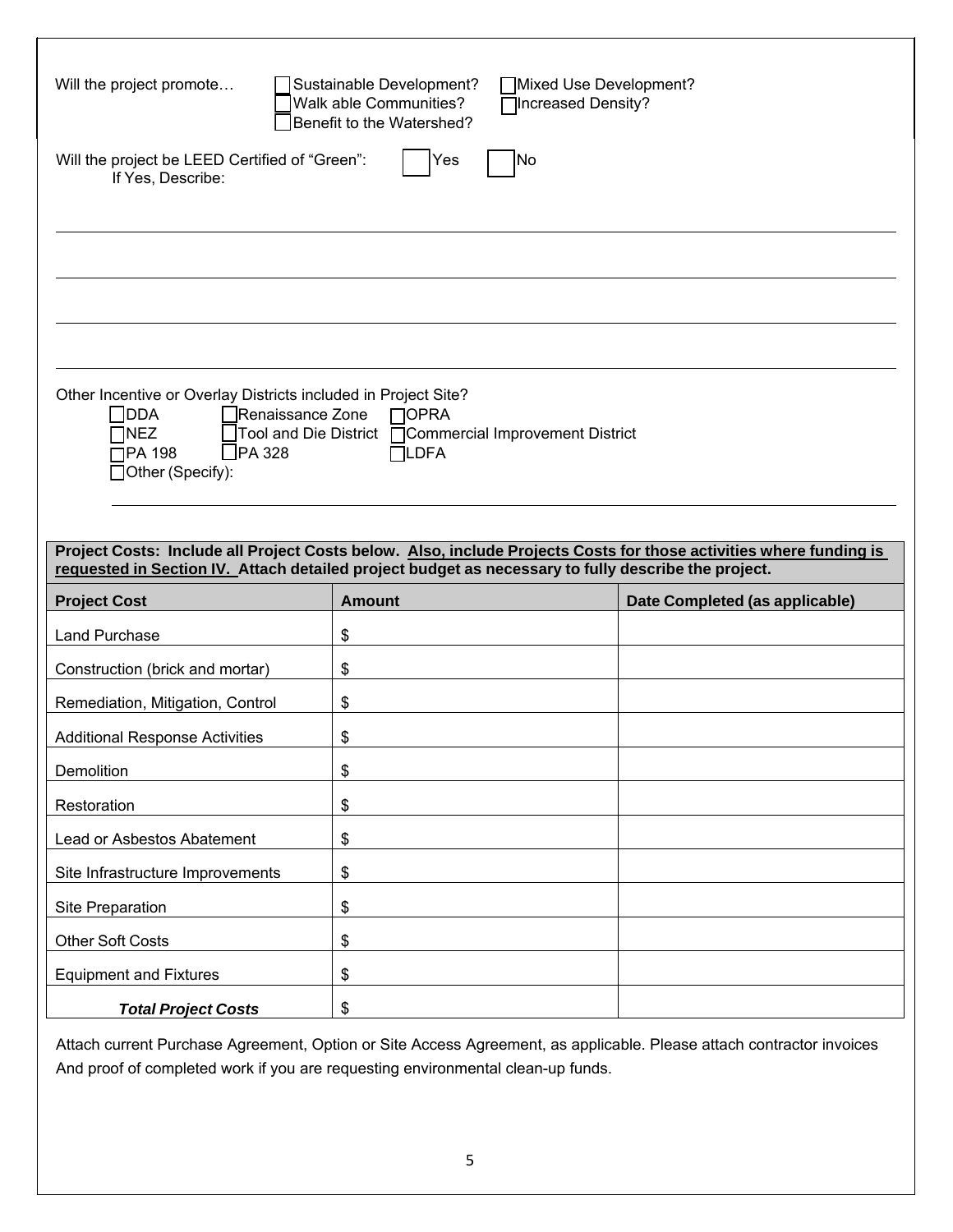| Will the project promote<br>Sustainable Development?<br>Mixed Use Development?<br>Walk able Communities?<br>Increased Density?<br>Benefit to the Watershed?           |                                                                                                     |                                                                                                                    |  |  |
|-----------------------------------------------------------------------------------------------------------------------------------------------------------------------|-----------------------------------------------------------------------------------------------------|--------------------------------------------------------------------------------------------------------------------|--|--|
| Will the project be LEED Certified of "Green":<br>If Yes, Describe:                                                                                                   | Yes<br> No                                                                                          |                                                                                                                    |  |  |
|                                                                                                                                                                       |                                                                                                     |                                                                                                                    |  |  |
|                                                                                                                                                                       |                                                                                                     |                                                                                                                    |  |  |
|                                                                                                                                                                       |                                                                                                     |                                                                                                                    |  |  |
|                                                                                                                                                                       |                                                                                                     |                                                                                                                    |  |  |
|                                                                                                                                                                       |                                                                                                     |                                                                                                                    |  |  |
| Other Incentive or Overlay Districts included in Project Site?<br>Renaissance Zone<br>$\Box$ DDA<br>$\Box$ NEZ<br>$\Box$ PA 328<br>$\Box$ PA 198<br>□Other (Specify): | $\Box$ OPRA<br>1Tool and Die District □ Commercial Improvement District<br>$\Box$ LDFA              |                                                                                                                    |  |  |
|                                                                                                                                                                       |                                                                                                     |                                                                                                                    |  |  |
|                                                                                                                                                                       | requested in Section IV. Attach detailed project budget as necessary to fully describe the project. | Project Costs: Include all Project Costs below. Also, include Projects Costs for those activities where funding is |  |  |
| <b>Project Cost</b>                                                                                                                                                   | <b>Amount</b>                                                                                       | Date Completed (as applicable)                                                                                     |  |  |
| <b>Land Purchase</b>                                                                                                                                                  | \$                                                                                                  |                                                                                                                    |  |  |
| Construction (brick and mortar)                                                                                                                                       | \$                                                                                                  |                                                                                                                    |  |  |
| Remediation, Mitigation, Control                                                                                                                                      | \$                                                                                                  |                                                                                                                    |  |  |
| <b>Additional Response Activities</b>                                                                                                                                 | \$                                                                                                  |                                                                                                                    |  |  |
| Demolition                                                                                                                                                            | \$                                                                                                  |                                                                                                                    |  |  |
| Restoration                                                                                                                                                           | \$                                                                                                  |                                                                                                                    |  |  |
| Lead or Asbestos Abatement                                                                                                                                            | \$                                                                                                  |                                                                                                                    |  |  |
| Site Infrastructure Improvements                                                                                                                                      | \$                                                                                                  |                                                                                                                    |  |  |
| Site Preparation                                                                                                                                                      | $\,$                                                                                                |                                                                                                                    |  |  |
| <b>Other Soft Costs</b>                                                                                                                                               | \$                                                                                                  |                                                                                                                    |  |  |
| <b>Equipment and Fixtures</b>                                                                                                                                         | \$                                                                                                  |                                                                                                                    |  |  |
|                                                                                                                                                                       |                                                                                                     |                                                                                                                    |  |  |

Attach current Purchase Agreement, Option or Site Access Agreement, as applicable. Please attach contractor invoices And proof of completed work if you are requesting environmental clean-up funds.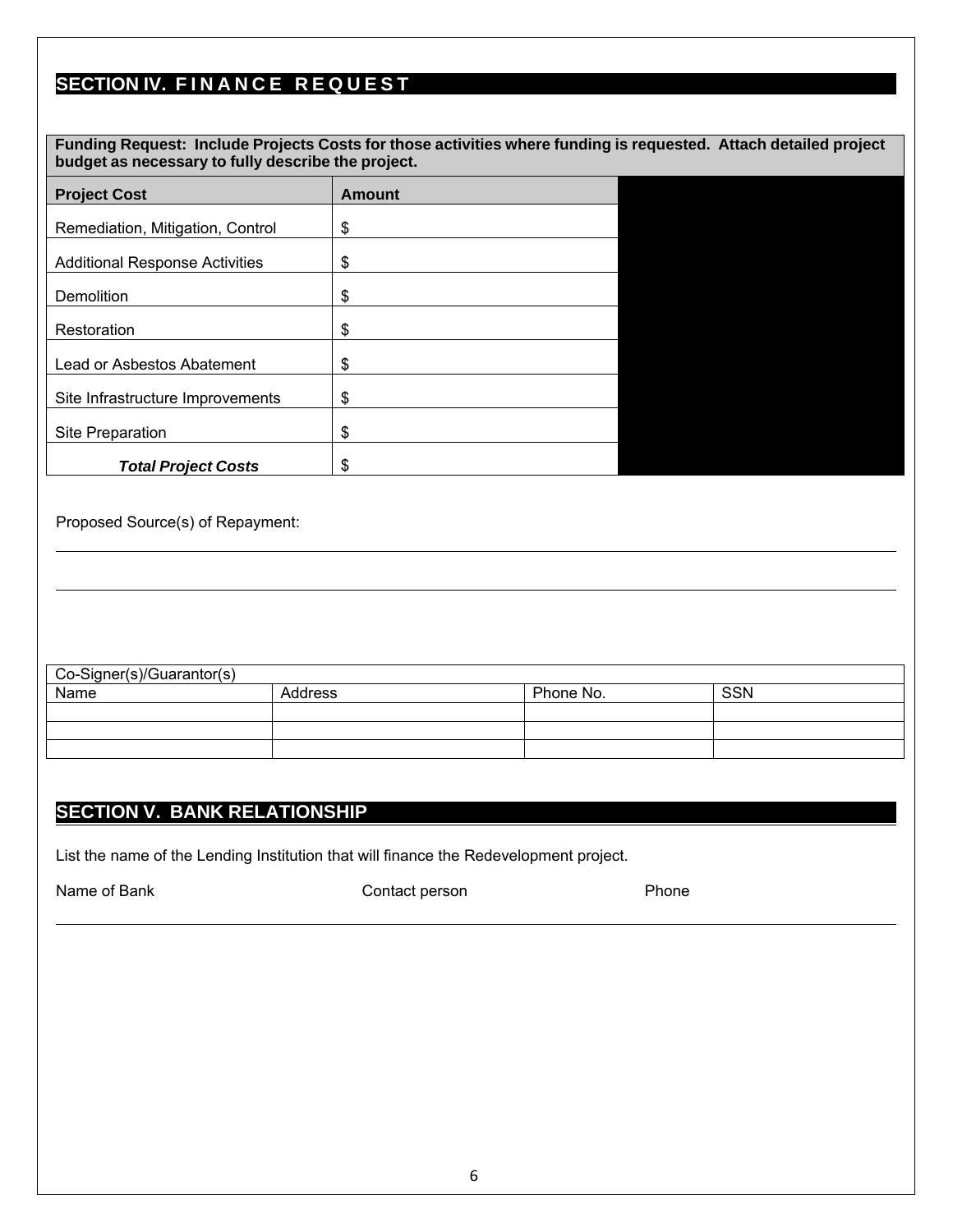# **SECTION IV. FINANCE REQUEST**

| Funding Request: Include Projects Costs for those activities where funding is requested. Attach detailed project<br>budget as necessary to fully describe the project. |               |  |  |  |
|------------------------------------------------------------------------------------------------------------------------------------------------------------------------|---------------|--|--|--|
| <b>Project Cost</b>                                                                                                                                                    | <b>Amount</b> |  |  |  |
| Remediation, Mitigation, Control                                                                                                                                       | \$            |  |  |  |
| <b>Additional Response Activities</b>                                                                                                                                  | \$            |  |  |  |
| Demolition                                                                                                                                                             | \$            |  |  |  |
| Restoration                                                                                                                                                            | \$            |  |  |  |
| Lead or Asbestos Abatement                                                                                                                                             | \$            |  |  |  |
| Site Infrastructure Improvements                                                                                                                                       | \$            |  |  |  |
| Site Preparation                                                                                                                                                       | \$            |  |  |  |
| <b>Total Project Costs</b>                                                                                                                                             | S             |  |  |  |

Proposed Source(s) of Repayment:

| Co-Signer(s)/Guarantor(s) |         |           |            |  |
|---------------------------|---------|-----------|------------|--|
| Name                      | Address | Phone No. | <b>SSN</b> |  |
|                           |         |           |            |  |
|                           |         |           |            |  |
|                           |         |           |            |  |

#### **SECTION V. BANK RELATIONSHIP**

List the name of the Lending Institution that will finance the Redevelopment project.

Name of Bank **Contact person** Contact person